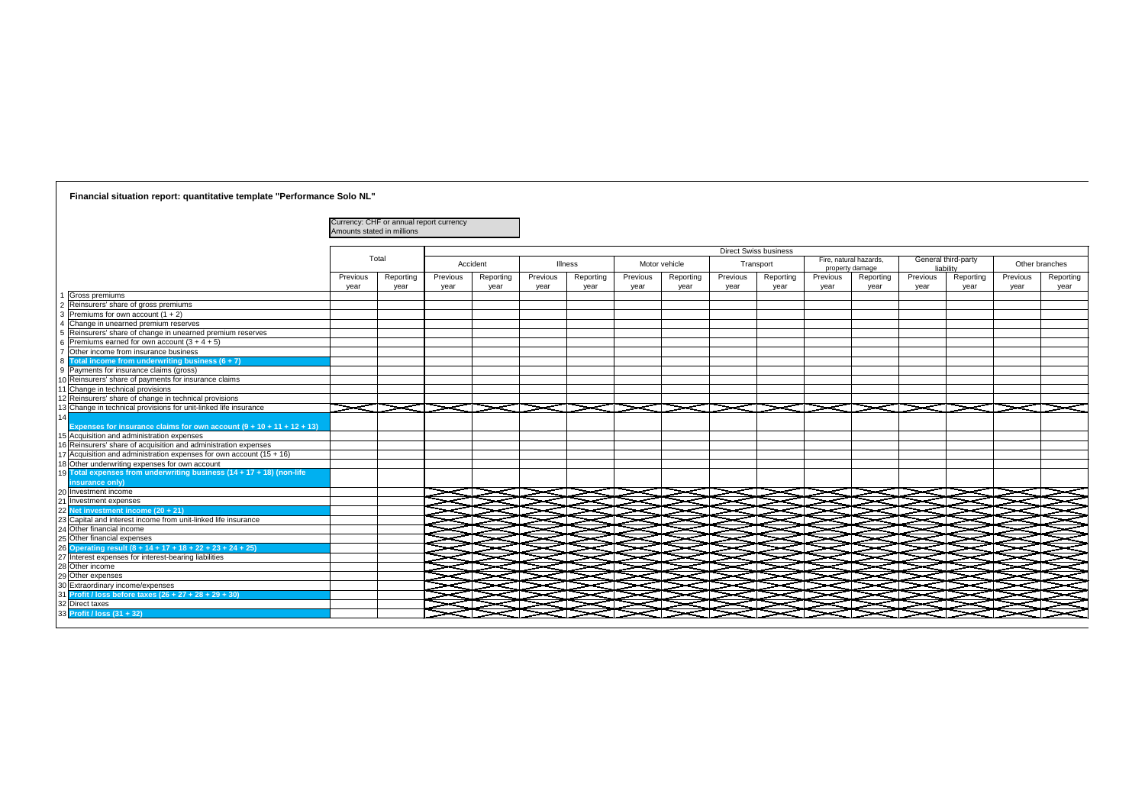| Currency: CHF or annual report currency<br>Amounts stated in millions   |          |           |          |                |          |               |          |                              |          |                                           |           |                     |                  |                |
|-------------------------------------------------------------------------|----------|-----------|----------|----------------|----------|---------------|----------|------------------------------|----------|-------------------------------------------|-----------|---------------------|------------------|----------------|
|                                                                         |          |           |          |                |          |               |          | <b>Direct Swiss business</b> |          |                                           |           |                     |                  |                |
| Total                                                                   |          | Accident  |          | <b>Illness</b> |          | Motor vehicle |          | Transport                    |          | Fire, natural hazards,<br>property damage | liability | General third-party |                  | Other branches |
| Reporting<br>Previous                                                   | Previous | Reporting | Previous | Reporting      | Previous | Reporting     | Previous | Reporting                    | Previous | Reporting                                 | Previous  | Reporting           | Previous<br>year | Reporting      |
| year<br>year<br>Gross premiums                                          | year     | year      | year     | year           | year     | year          | year     | year                         | year     | year                                      | year      | year                |                  | year           |
| Reinsurers' share of gross premiums                                     |          |           |          |                |          |               |          |                              |          |                                           |           |                     |                  |                |
| Premiums for own account $(1 + 2)$                                      |          |           |          |                |          |               |          |                              |          |                                           |           |                     |                  |                |
| Change in unearned premium reserves                                     |          |           |          |                |          |               |          |                              |          |                                           |           |                     |                  |                |
| Reinsurers' share of change in unearned premium reserves                |          |           |          |                |          |               |          |                              |          |                                           |           |                     |                  |                |
| Premiums earned for own account $(3 + 4 + 5)$                           |          |           |          |                |          |               |          |                              |          |                                           |           |                     |                  |                |
| Other income from insurance business                                    |          |           |          |                |          |               |          |                              |          |                                           |           |                     |                  |                |
| Total income from underwriting business $(6 + 7)$                       |          |           |          |                |          |               |          |                              |          |                                           |           |                     |                  |                |
| Payments for insurance claims (gross)                                   |          |           |          |                |          |               |          |                              |          |                                           |           |                     |                  |                |
| 0 Reinsurers' share of payments for insurance claims                    |          |           |          |                |          |               |          |                              |          |                                           |           |                     |                  |                |
| I Change in technical provisions                                        |          |           |          |                |          |               |          |                              |          |                                           |           |                     |                  |                |
| 2 Reinsurers' share of change in technical provisions                   |          |           |          |                |          |               |          |                              |          |                                           |           |                     |                  |                |
| 3 Change in technical provisions for unit-linked life insurance         |          |           |          |                |          |               |          |                              |          |                                           |           |                     |                  |                |
| Expenses for insurance claims for own account $(9 + 10 + 11 + 12 + 13)$ |          |           |          |                |          |               |          |                              |          |                                           |           |                     |                  |                |
| 15 Acquisition and administration expenses                              |          |           |          |                |          |               |          |                              |          |                                           |           |                     |                  |                |
| 16 Reinsurers' share of acquisition and administration expenses         |          |           |          |                |          |               |          |                              |          |                                           |           |                     |                  |                |
| 7 Acquisition and administration expenses for own account $(15 + 16)$   |          |           |          |                |          |               |          |                              |          |                                           |           |                     |                  |                |
| 18 Other underwriting expenses for own account                          |          |           |          |                |          |               |          |                              |          |                                           |           |                     |                  |                |
| 19 Total expenses from underwriting business (14 + 17 + 18) (non-life   |          |           |          |                |          |               |          |                              |          |                                           |           |                     |                  |                |
| insurance only)                                                         |          |           |          |                |          |               |          |                              |          |                                           |           |                     |                  |                |
| 20 Investment income                                                    |          |           |          |                |          |               |          |                              |          |                                           |           |                     |                  |                |
| 1 Investment expenses                                                   |          |           |          |                |          |               |          |                              |          |                                           |           |                     |                  |                |
| 22 Net investment income (20 + 21)                                      |          |           |          |                |          |               |          |                              |          |                                           |           |                     |                  |                |
| 23 Capital and interest income from unit-linked life insurance          |          |           |          |                |          |               |          |                              |          |                                           |           |                     |                  |                |
| 24 Other financial income                                               |          |           |          |                |          |               |          |                              |          |                                           |           |                     |                  |                |
| 25 Other financial expenses                                             |          |           |          |                |          |               |          |                              |          |                                           |           |                     |                  |                |
| 26 Operating result (8 + 14 + 17 + 18 + 22 + 23 + 24 + 25)              |          |           |          |                |          |               |          |                              |          |                                           |           |                     |                  |                |
| 27 Interest expenses for interest-bearing liabilities                   |          |           |          |                |          |               |          |                              |          |                                           |           |                     |                  |                |
| 28 Other income                                                         |          |           |          |                |          |               |          |                              |          |                                           |           |                     |                  |                |
| 29 Other expenses                                                       |          |           |          |                |          |               |          |                              |          |                                           |           |                     |                  |                |
| 080 Extraordinary income/expenses                                       |          |           |          |                |          |               |          |                              |          |                                           |           |                     |                  |                |
| $31$ Profit / loss before taxes $(26 + 27 + 28 + 29 + 30)$              |          |           |          |                |          |               |          |                              |          |                                           |           |                     |                  |                |
| 2 Direct taxes                                                          |          |           |          |                |          |               |          |                              |          |                                           |           |                     |                  |                |
| <b>3 Profit / loss (31 + 32)</b>                                        |          |           |          |                |          |               |          |                              |          |                                           |           |                     |                  |                |

## **Financial situation report: quantitative template "Performance Solo NL"**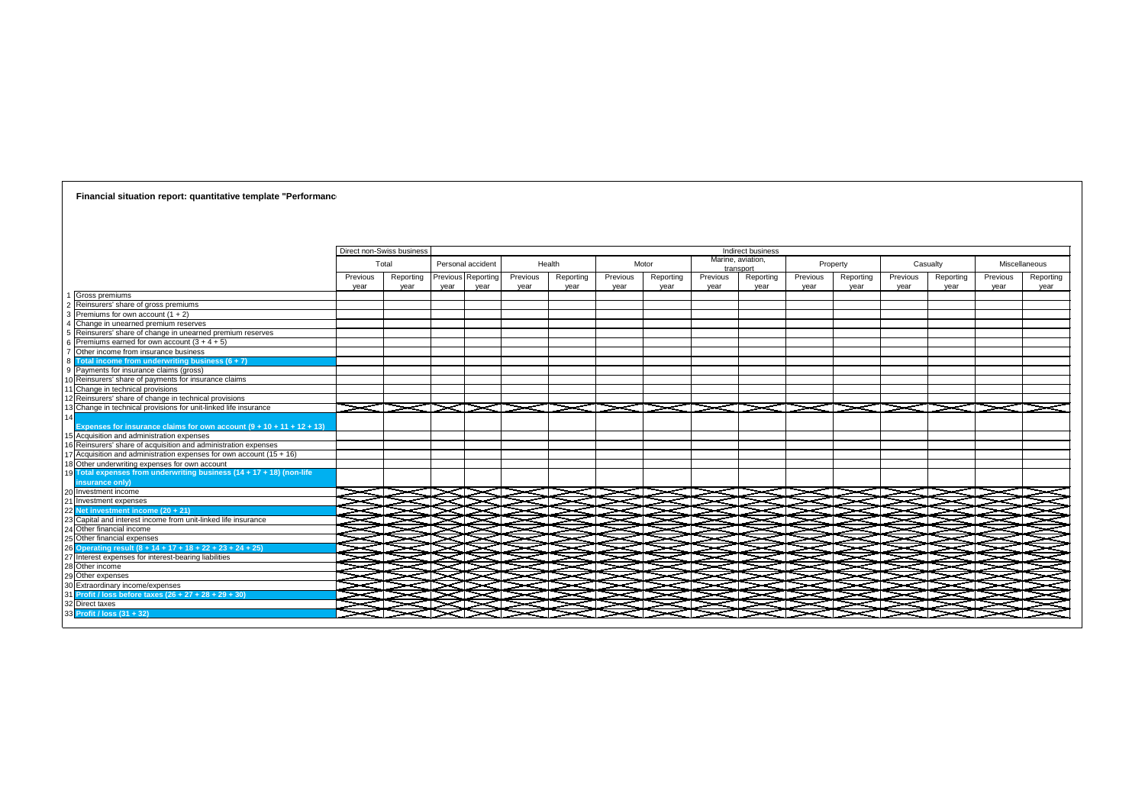## Direct non-Swiss business Total Personal accident | Health | Motor Previous Reporting Previous Reporting Previous Reporting Previous Reportin year year year year year year year year Gross premiums Reinsurers' share of gross premiums Premiums for own account  $(1 + 2)$ Change in unearned premium reserves Reinsurers' share of change in unearned premium reserves Premiums earned for own account  $(3 + 4 + 5)$ Other income from insurance business 8 **Total income from underwriting business (6 + 7)** 9 Payments for insurance claims (gross) Reinsurers' share of payments for insurance claims **Change in technical provisions Reinsurers' share of change in technical provisions Change in technical provisions for unit-linked life insurance**  $>\!\!<\!\!\!\!\cdot\!\!$  $\blacktriangleright\!\!\!<\!\!\!\sim\!\!\!\!\sim\!\!\!\!\sim\!\!\!\!\sim\!\!\!\!\sim$ 14 **Expenses for insurance claims for own account (9 + 10 + 11 + 12 + 13)** Acquisition and administration expenses Reinsurers' share of acquisition and administration expenses  $\sqrt{\text{Acquisition}}$  and administration expenses for own account (15 + 16) 18 Other underwriting expenses for own account 19 **Total expenses from underwriting business (14 + 17 + 18) (non-life insurance only)** Investment income SD  $\subset \Box$ Investment expenses 22 **Net investment income (20 + 21)** ▔▏▔ 23 Capital and interest income from unit-linked life insurance 4 Other financial income  $\blacksquare$ 5 Other financial expenses E. 26 **Operating result (8 + 14 + 17 + 18 + 22 + 23 + 24 + 25)** Interest expenses for interest-bearing liabilities Other income **Other expenses** 30 Extraordinary income/expenses  $\Box$  $\mathbf{1}$  $\mathbf{I}$ 31 **Profit / loss before taxes (26 + 27 + 28 + 29 + 30)**  $\mathbf{1}$ J コン  $\Box$  $\mathbf{L}$ 2 Direct taxes 3 L I 33 **Profit / loss (31 + 32)** T L

**Financial situation report: quantitative template "Performance** 

|   |                   |                  |                   |                  | Indirect business              |                  |                   |                  |                   |                  |                   |
|---|-------------------|------------------|-------------------|------------------|--------------------------------|------------------|-------------------|------------------|-------------------|------------------|-------------------|
|   | Health            |                  | Motor             |                  | Marine, aviation,<br>transport |                  | Property          |                  | Casualty          | Miscellaneous    |                   |
|   | Reporting<br>year | Previous<br>year | Reporting<br>year | Previous<br>year | Reporting<br>year              | Previous<br>year | Reporting<br>year | Previous<br>year | Reporting<br>year | Previous<br>year | Reporting<br>year |
|   |                   |                  |                   |                  |                                |                  |                   |                  |                   |                  |                   |
|   |                   |                  |                   |                  |                                |                  |                   |                  |                   |                  |                   |
|   |                   |                  |                   |                  |                                |                  |                   |                  |                   |                  |                   |
|   |                   |                  |                   |                  |                                |                  |                   |                  |                   |                  |                   |
|   |                   |                  |                   |                  |                                |                  |                   |                  |                   |                  |                   |
|   |                   |                  |                   |                  |                                |                  |                   |                  |                   |                  |                   |
|   |                   |                  |                   |                  |                                |                  |                   |                  |                   |                  |                   |
|   |                   |                  |                   |                  |                                |                  |                   |                  |                   |                  |                   |
|   |                   |                  |                   |                  |                                |                  |                   |                  |                   |                  |                   |
|   |                   |                  |                   |                  |                                |                  |                   |                  |                   |                  |                   |
|   |                   |                  |                   |                  |                                |                  |                   |                  |                   |                  |                   |
|   |                   |                  |                   |                  |                                |                  |                   |                  |                   |                  |                   |
|   |                   |                  |                   |                  |                                |                  |                   |                  |                   |                  |                   |
|   |                   |                  |                   |                  |                                |                  |                   |                  |                   |                  |                   |
|   |                   |                  |                   |                  |                                |                  |                   |                  |                   |                  |                   |
|   |                   |                  |                   |                  |                                |                  |                   |                  |                   |                  |                   |
|   |                   |                  |                   |                  |                                |                  |                   |                  |                   |                  |                   |
|   |                   |                  |                   |                  |                                |                  |                   |                  |                   |                  |                   |
|   |                   |                  |                   |                  |                                |                  |                   |                  |                   |                  |                   |
|   |                   |                  |                   |                  |                                |                  |                   |                  |                   |                  |                   |
|   |                   |                  |                   |                  |                                |                  |                   |                  |                   |                  |                   |
|   |                   |                  |                   |                  |                                |                  |                   |                  |                   |                  |                   |
|   |                   |                  |                   |                  |                                |                  |                   |                  |                   |                  |                   |
| э |                   |                  |                   |                  |                                |                  |                   |                  |                   |                  |                   |
|   |                   |                  |                   |                  |                                |                  |                   |                  |                   |                  |                   |
|   |                   |                  |                   |                  |                                |                  |                   |                  |                   |                  |                   |
| Ξ |                   |                  |                   |                  |                                |                  |                   |                  |                   |                  |                   |
| Ξ |                   |                  |                   |                  |                                |                  |                   |                  |                   |                  |                   |
|   |                   |                  |                   |                  |                                |                  |                   |                  |                   |                  |                   |
| ∍ |                   |                  |                   |                  |                                |                  |                   |                  |                   |                  |                   |
|   |                   |                  |                   |                  |                                |                  |                   |                  |                   |                  |                   |
|   |                   |                  |                   |                  |                                |                  |                   |                  |                   |                  |                   |
|   |                   |                  |                   |                  |                                |                  |                   |                  |                   |                  |                   |
|   |                   |                  |                   |                  |                                |                  |                   |                  |                   |                  |                   |
|   |                   |                  |                   |                  |                                |                  |                   |                  |                   |                  |                   |
|   |                   |                  |                   |                  |                                |                  |                   |                  |                   |                  |                   |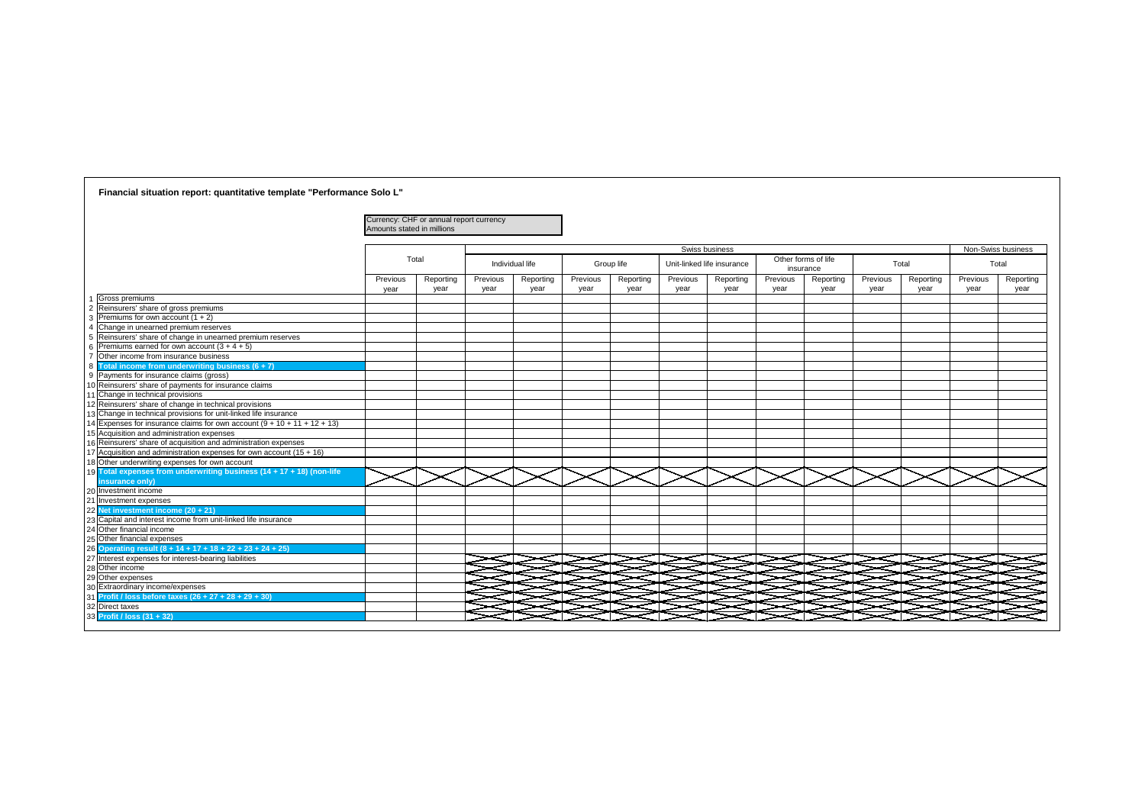|              | Swiss business        |                  |                     |                  |                   |                  | Non-Swiss business |  |  |  |
|--------------|-----------------------|------------------|---------------------|------------------|-------------------|------------------|--------------------|--|--|--|
|              | linked life insurance | insurance        | Other forms of life |                  | Total             | Total            |                    |  |  |  |
| vious<br>ear | Reporting<br>year     | Previous<br>year | Reporting<br>year   | Previous<br>year | Reporting<br>year | Previous<br>year | Reporting<br>year  |  |  |  |
|              |                       |                  |                     |                  |                   |                  |                    |  |  |  |
|              |                       |                  |                     |                  |                   |                  |                    |  |  |  |
|              |                       |                  |                     |                  |                   |                  |                    |  |  |  |
|              |                       |                  |                     |                  |                   |                  |                    |  |  |  |
|              |                       |                  |                     |                  |                   |                  |                    |  |  |  |
|              |                       |                  |                     |                  |                   |                  |                    |  |  |  |
|              |                       |                  |                     |                  |                   |                  |                    |  |  |  |
|              |                       |                  |                     |                  |                   |                  |                    |  |  |  |
|              |                       |                  |                     |                  |                   |                  |                    |  |  |  |
|              |                       |                  |                     |                  |                   |                  |                    |  |  |  |
|              |                       |                  |                     |                  |                   |                  |                    |  |  |  |
|              |                       |                  |                     |                  |                   |                  |                    |  |  |  |
|              |                       |                  |                     |                  |                   |                  |                    |  |  |  |
|              |                       |                  |                     |                  |                   |                  |                    |  |  |  |
|              |                       |                  |                     |                  |                   |                  |                    |  |  |  |
|              |                       |                  |                     |                  |                   |                  |                    |  |  |  |
| $\equiv$     |                       |                  |                     |                  |                   |                  |                    |  |  |  |
|              |                       |                  |                     |                  |                   |                  |                    |  |  |  |

## Currency: CHF or annual report currency Amounts stated in millions Previous year Reporting year Previous year Reporting year Previous year Reporting year Previ yea Gross premiums 2 Reinsurers' share of gross premiums 3 Premiums for own account  $(1 + 2)$ 4 Change in unearned premium reserves 5 Reinsurers' share of change in unearned premium reserves Premiums earned for own account  $(3 + 4 + 5)$ Other income from insurance business 8 **Total income from underwriting business (6 + 7)** 9 Payments for insurance claims (gross) 10 Reinsurers' share of payments for insurance claims 11 Change in technical provisions 12 Reinsurers' share of change in technical provisions 13 Change in technical provisions for unit-linked life insurance 14 Expenses for insurance claims for own account  $(9 + 10 + 11 + 12 + 13)$ 15 Acquisition and administration expenses 16 Reinsurers' share of acquisition and administration expenses  $7$  Acquisition and administration expenses for own account (15 + 16) 18 Other underwriting expenses for own account 19 **Total expenses from underwriting business (14 + 17 + 18) (non-life insurance only)** 20 Investment income 21 Investment expenses 22 **Net investment income (20 + 21)** 23 Capital and interest income from unit-linked life insurance 24 Other financial income 25 Other financial expenses 26 **Operating result (8 + 14 + 17 + 18 + 22 + 23 + 24 + 25)** 27 Interest expenses for interest-bearing liabilities 28 Other income 29 Other expenses 30 Extraordinary income/expenses 31 **Profit / loss before taxes (26 + 27 + 28 + 29 + 30)** 32 Direct taxes 33 **Profit / loss (31 + 32)** Total Individual life **Solution Communist Croup life** Unit-linked life insurance **Other forms of life** in

**Financial situation report: quantitative template "Performance Solo L"**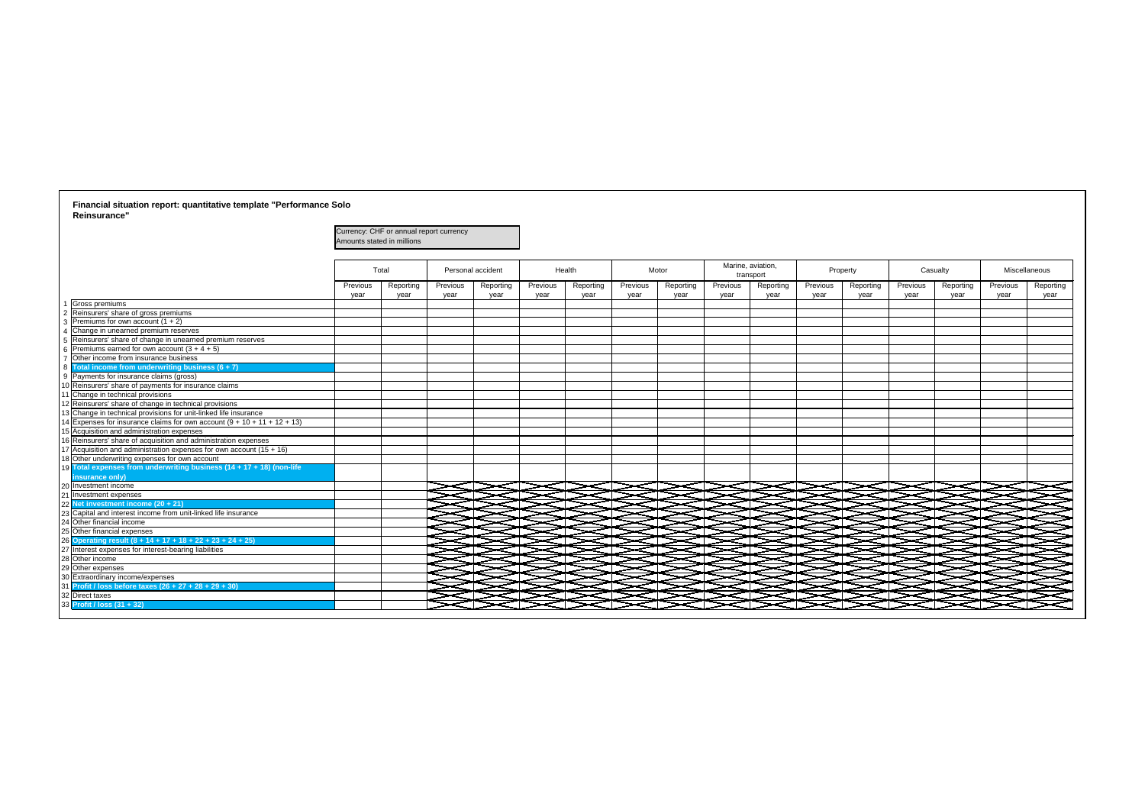|                                                                           | Amounts stated in millions | Currency: CHF or annual report currency |          |                   |          |           |          |           |                   |           |          |           |          |           |               |           |
|---------------------------------------------------------------------------|----------------------------|-----------------------------------------|----------|-------------------|----------|-----------|----------|-----------|-------------------|-----------|----------|-----------|----------|-----------|---------------|-----------|
|                                                                           |                            | Total                                   |          | Personal accident |          | Health    | Motor    |           | Marine, aviation, | transport |          | Property  |          | Casualty  | Miscellaneous |           |
|                                                                           | Previous                   | Reporting                               | Previous | Reporting         | Previous | Reporting | Previous | Reporting | Previous          | Reporting | Previous | Reporting | Previous | Reporting | Previous      | Reporting |
| Gross premiums                                                            | vear                       | year                                    | year     | year              | year     | year      | year     | year      | year              | year      | vear     | year      | year     | year      | year          | year      |
| Reinsurers' share of gross premiums                                       |                            |                                         |          |                   |          |           |          |           |                   |           |          |           |          |           |               |           |
| 3 Premiums for own account $(1 + 2)$                                      |                            |                                         |          |                   |          |           |          |           |                   |           |          |           |          |           |               |           |
| 4 Change in unearned premium reserves                                     |                            |                                         |          |                   |          |           |          |           |                   |           |          |           |          |           |               |           |
| 5 Reinsurers' share of change in unearned premium reserves                |                            |                                         |          |                   |          |           |          |           |                   |           |          |           |          |           |               |           |
| 6 Premiums earned for own account $(3 + 4 + 5)$                           |                            |                                         |          |                   |          |           |          |           |                   |           |          |           |          |           |               |           |
| Other income from insurance business                                      |                            |                                         |          |                   |          |           |          |           |                   |           |          |           |          |           |               |           |
| Total income from underwriting business $(6 + 7)$                         |                            |                                         |          |                   |          |           |          |           |                   |           |          |           |          |           |               |           |
| <b>Payments for insurance claims (gross)</b>                              |                            |                                         |          |                   |          |           |          |           |                   |           |          |           |          |           |               |           |
| 0 Reinsurers' share of payments for insurance claims                      |                            |                                         |          |                   |          |           |          |           |                   |           |          |           |          |           |               |           |
| Change in technical provisions                                            |                            |                                         |          |                   |          |           |          |           |                   |           |          |           |          |           |               |           |
| 2 Reinsurers' share of change in technical provisions                     |                            |                                         |          |                   |          |           |          |           |                   |           |          |           |          |           |               |           |
| 3 Change in technical provisions for unit-linked life insurance           |                            |                                         |          |                   |          |           |          |           |                   |           |          |           |          |           |               |           |
| 4 Expenses for insurance claims for own account $(9 + 10 + 11 + 12 + 13)$ |                            |                                         |          |                   |          |           |          |           |                   |           |          |           |          |           |               |           |
| 15 Acquisition and administration expenses                                |                            |                                         |          |                   |          |           |          |           |                   |           |          |           |          |           |               |           |
| 16 Reinsurers' share of acquisition and administration expenses           |                            |                                         |          |                   |          |           |          |           |                   |           |          |           |          |           |               |           |
| 17 Acquisition and administration expenses for own account (15 + 16)      |                            |                                         |          |                   |          |           |          |           |                   |           |          |           |          |           |               |           |
| 18 Other underwriting expenses for own account                            |                            |                                         |          |                   |          |           |          |           |                   |           |          |           |          |           |               |           |
| 19 Total expenses from underwriting business (14 + 17 + 18) (non-life     |                            |                                         |          |                   |          |           |          |           |                   |           |          |           |          |           |               |           |
| insurance only)                                                           |                            |                                         |          |                   |          |           |          |           |                   |           |          |           |          |           |               |           |
| 20 Investment income                                                      |                            |                                         |          |                   |          |           |          |           |                   |           |          |           |          |           |               |           |
| 21 Investment expenses                                                    |                            |                                         |          |                   |          |           |          |           |                   |           |          |           |          |           |               |           |
| 22 Net investment income (20 + 21)                                        |                            |                                         |          |                   |          |           |          |           |                   |           |          |           |          |           |               |           |
| 23 Capital and interest income from unit-linked life insurance            |                            |                                         |          |                   |          |           |          |           |                   |           |          |           |          |           |               |           |
| 24 Other financial income                                                 |                            |                                         |          |                   |          |           |          |           |                   |           |          |           |          |           |               |           |
| 25 Other financial expenses                                               |                            |                                         |          |                   |          |           |          |           |                   |           |          |           |          |           |               |           |
| 26 Operating result (8 + 14 + 17 + 18 + 22 + 23 + 24 + 25)                |                            |                                         |          |                   |          |           |          |           |                   |           |          |           |          |           |               |           |
| 27 Interest expenses for interest-bearing liabilities                     |                            |                                         |          |                   |          |           |          |           |                   |           |          |           |          |           |               |           |
| 28 Other income                                                           |                            |                                         |          |                   |          |           |          |           |                   |           |          |           |          |           |               |           |
| 29 Other expenses                                                         |                            |                                         |          |                   |          |           |          |           |                   |           |          |           |          |           |               |           |
| 30 Extraordinary income/expenses                                          |                            |                                         |          |                   |          |           |          |           |                   |           |          |           |          |           |               |           |
| 31 Profit / loss before taxes (26 + 27 + 28 + 29 + 30)                    |                            |                                         |          |                   |          |           |          |           |                   |           |          |           |          |           |               |           |
| 32 Direct taxes                                                           |                            |                                         |          |                   |          |           |          |           |                   |           |          |           |          |           |               |           |
| 33 Profit / loss (31 + 32)                                                |                            |                                         |          |                   |          |           |          |           |                   |           |          |           |          |           |               |           |

## **Financial situation report: quantitative template "Performance Solo Reinsurance"**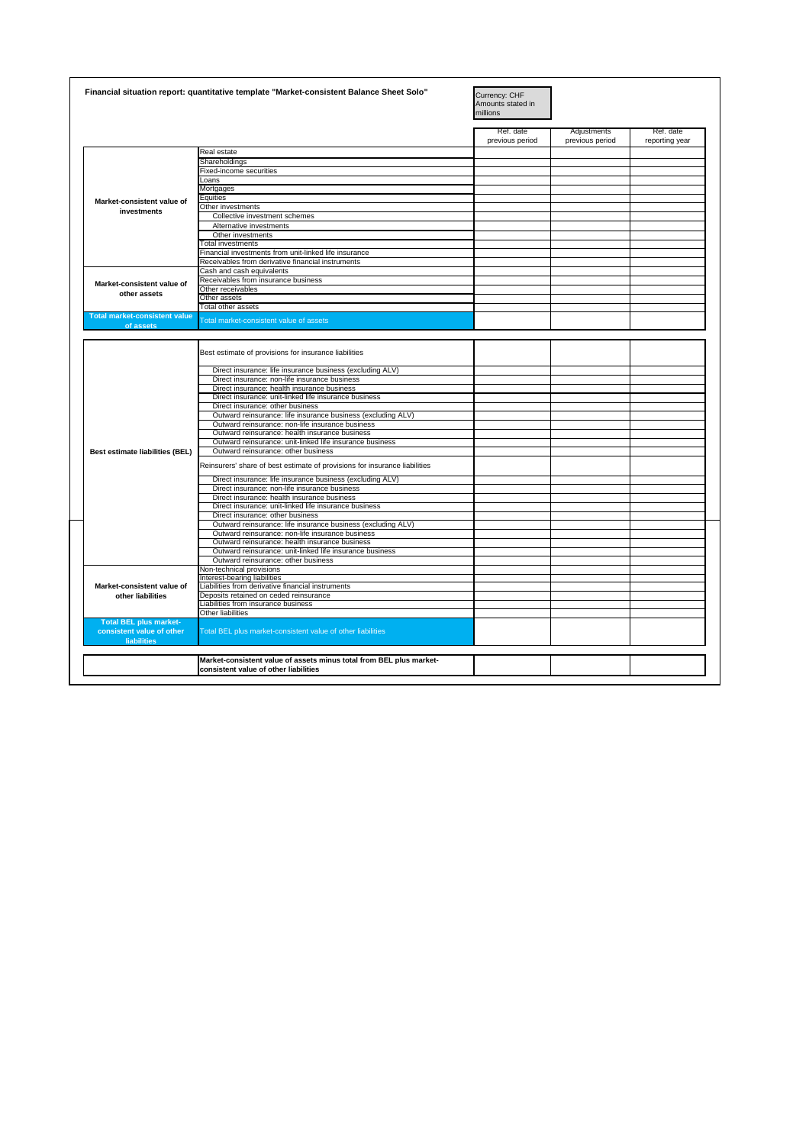|  | .<br>11 1 U 3<br>- 11<br>ww.<br>- ייסח ושווי<br>пысн<br>,,,,,,,<br>. <del>.</del><br>value<br><i>A</i> 33613 II<br>. |  |  |
|--|----------------------------------------------------------------------------------------------------------------------|--|--|
|  | * Iiabilities<br>, other<br>value<br>sten:                                                                           |  |  |
|  |                                                                                                                      |  |  |

|                                                            | Financial situation report: quantitative template "Market-consistent Balance Sheet Solo" | Currency: CHF<br>Amounts stated in<br>millions |                                |                             |
|------------------------------------------------------------|------------------------------------------------------------------------------------------|------------------------------------------------|--------------------------------|-----------------------------|
|                                                            |                                                                                          | Ref. date<br>previous period                   | Adjustments<br>previous period | Ref. date<br>reporting year |
|                                                            | Real estate                                                                              |                                                |                                |                             |
|                                                            | Shareholdings                                                                            |                                                |                                |                             |
|                                                            | <b>Fixed-income securities</b>                                                           |                                                |                                |                             |
|                                                            | Loans                                                                                    |                                                |                                |                             |
|                                                            | Mortgages                                                                                |                                                |                                |                             |
| Market-consistent value of                                 | <b>Equities</b>                                                                          |                                                |                                |                             |
| <b>investments</b>                                         | Other investments                                                                        |                                                |                                |                             |
|                                                            | Collective investment schemes                                                            |                                                |                                |                             |
|                                                            | Alternative investments                                                                  |                                                |                                |                             |
|                                                            | Other investments                                                                        |                                                |                                |                             |
|                                                            | <b>Total investments</b>                                                                 |                                                |                                |                             |
|                                                            | Financial investments from unit-linked life insurance                                    |                                                |                                |                             |
|                                                            | Receivables from derivative financial instruments                                        |                                                |                                |                             |
|                                                            | Cash and cash equivalents                                                                |                                                |                                |                             |
| Market-consistent value of                                 | Receivables from insurance business                                                      |                                                |                                |                             |
|                                                            | Other receivables                                                                        |                                                |                                |                             |
| other assets                                               | Other assets                                                                             |                                                |                                |                             |
|                                                            | Total other assets                                                                       |                                                |                                |                             |
| <b>Total market-consistent value</b><br>of assets          | Total market-consistent value of assets                                                  |                                                |                                |                             |
|                                                            |                                                                                          |                                                |                                |                             |
|                                                            | Best estimate of provisions for insurance liabilities                                    |                                                |                                |                             |
|                                                            | Direct insurance: life insurance business (excluding ALV)                                |                                                |                                |                             |
|                                                            | Direct insurance: non-life insurance business                                            |                                                |                                |                             |
|                                                            | Direct insurance: health insurance business                                              |                                                |                                |                             |
|                                                            | Direct insurance: unit-linked life insurance business                                    |                                                |                                |                             |
|                                                            | Direct insurance: other business                                                         |                                                |                                |                             |
|                                                            | Outward reinsurance: life insurance business (excluding ALV)                             |                                                |                                |                             |
|                                                            | Outward reinsurance: non-life insurance business                                         |                                                |                                |                             |
|                                                            | Outward reinsurance: health insurance business                                           |                                                |                                |                             |
|                                                            | Outward reinsurance: unit-linked life insurance business                                 |                                                |                                |                             |
| <b>Best estimate liabilities (BEL)</b>                     | Outward reinsurance: other business                                                      |                                                |                                |                             |
|                                                            | Reinsurers' share of best estimate of provisions for insurance liabilities               |                                                |                                |                             |
|                                                            | Direct insurance: life insurance business (excluding ALV)                                |                                                |                                |                             |
|                                                            | Direct insurance: non-life insurance business                                            |                                                |                                |                             |
|                                                            | Direct insurance: health insurance business                                              |                                                |                                |                             |
|                                                            | Direct insurance: unit-linked life insurance business                                    |                                                |                                |                             |
|                                                            | Direct insurance: other business                                                         |                                                |                                |                             |
|                                                            | Outward reinsurance: life insurance business (excluding ALV)                             |                                                |                                |                             |
|                                                            | Outward reinsurance: non-life insurance business                                         |                                                |                                |                             |
|                                                            | Outward reinsurance: health insurance business                                           |                                                |                                |                             |
|                                                            | Outward reinsurance: unit-linked life insurance business                                 |                                                |                                |                             |
|                                                            | Outward reinsurance: other business                                                      |                                                |                                |                             |
|                                                            | Non-technical provisions                                                                 |                                                |                                |                             |
|                                                            | Interest-bearing liabilities                                                             |                                                |                                |                             |
| Market-consistent value of                                 | Liabilities from derivative financial instruments                                        |                                                |                                |                             |
| other liabilities                                          | Deposits retained on ceded reinsurance                                                   |                                                |                                |                             |
|                                                            | Liabilities from insurance business                                                      |                                                |                                |                             |
|                                                            | Other liabilities                                                                        |                                                |                                |                             |
| <b>Total BEL plus market-</b><br>consistent value of other | Total BEL plus market-consistent value of other liabilities                              |                                                |                                |                             |
| <b>liabilities</b>                                         |                                                                                          |                                                |                                |                             |
|                                                            | Market-consistent value of assets minus total from BEL plus market-                      |                                                |                                |                             |
|                                                            |                                                                                          |                                                |                                |                             |